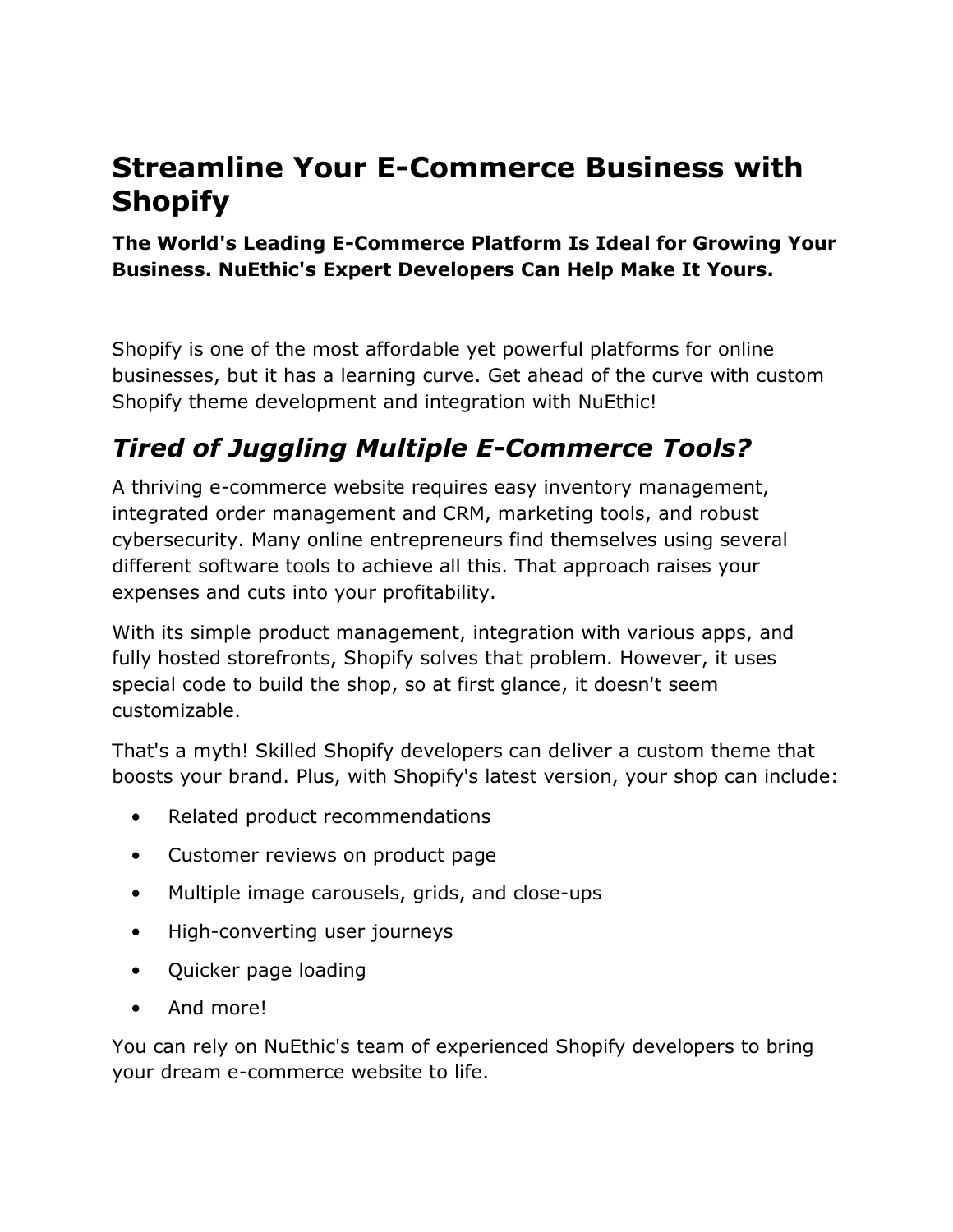# **Streamline Your E-Commerce Business with Shopify**

#### **The World's Leading E-Commerce Platform Is Ideal for Growing Your Business. NuEthic's Expert Developers Can Help Make It Yours.**

Shopify is one of the most affordable yet powerful platforms for online businesses, but it has a learning curve. Get ahead of the curve with custom Shopify theme development and integration with NuEthic!

### *Tired of Juggling Multiple E-Commerce Tools?*

A thriving e-commerce website requires easy inventory management, integrated order management and CRM, marketing tools, and robust cybersecurity. Many online entrepreneurs find themselves using several different software tools to achieve all this. That approach raises your expenses and cuts into your profitability.

With its simple product management, integration with various apps, and fully hosted storefronts, Shopify solves that problem. However, it uses special code to build the shop, so at first glance, it doesn't seem customizable.

That's a myth! Skilled Shopify developers can deliver a custom theme that boosts your brand. Plus, with Shopify's latest version, your shop can include:

- Related product recommendations
- Customer reviews on product page
- Multiple image carousels, grids, and close-ups
- High-converting user journeys
- Quicker page loading
- And more!

You can rely on NuEthic's team of experienced Shopify developers to bring your dream e-commerce website to life.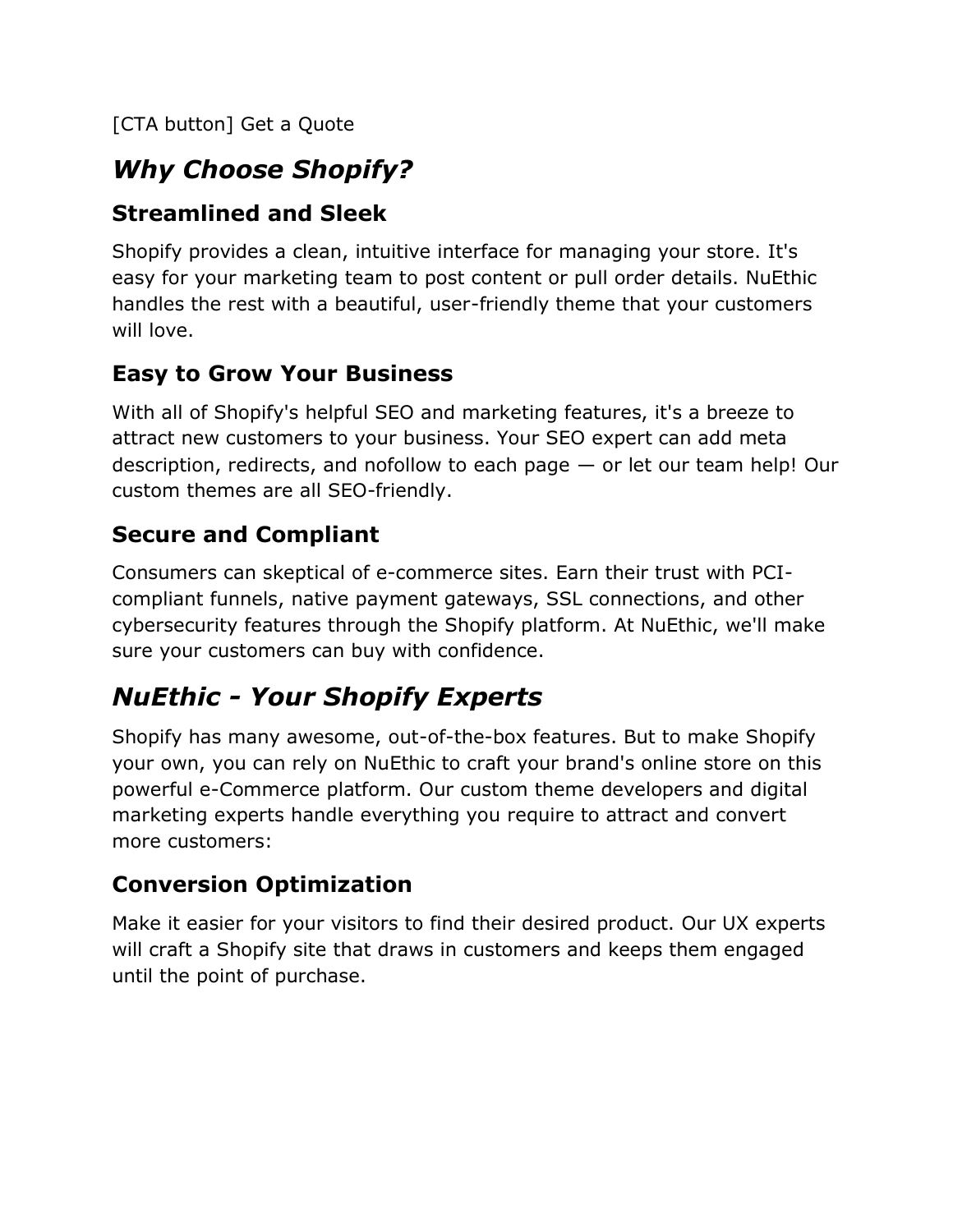[CTA button] Get a Quote

## *Why Choose Shopify?*

#### **Streamlined and Sleek**

Shopify provides a clean, intuitive interface for managing your store. It's easy for your marketing team to post content or pull order details. NuEthic handles the rest with a beautiful, user-friendly theme that your customers will love.

#### **Easy to Grow Your Business**

With all of Shopify's helpful SEO and marketing features, it's a breeze to attract new customers to your business. Your SEO expert can add meta description, redirects, and nofollow to each page — or let our team help! Our custom themes are all SEO-friendly.

#### **Secure and Compliant**

Consumers can skeptical of e-commerce sites. Earn their trust with PCIcompliant funnels, native payment gateways, SSL connections, and other cybersecurity features through the Shopify platform. At NuEthic, we'll make sure your customers can buy with confidence.

# *NuEthic - Your Shopify Experts*

Shopify has many awesome, out-of-the-box features. But to make Shopify your own, you can rely on NuEthic to craft your brand's online store on this powerful e-Commerce platform. Our custom theme developers and digital marketing experts handle everything you require to attract and convert more customers:

### **Conversion Optimization**

Make it easier for your visitors to find their desired product. Our UX experts will craft a Shopify site that draws in customers and keeps them engaged until the point of purchase.